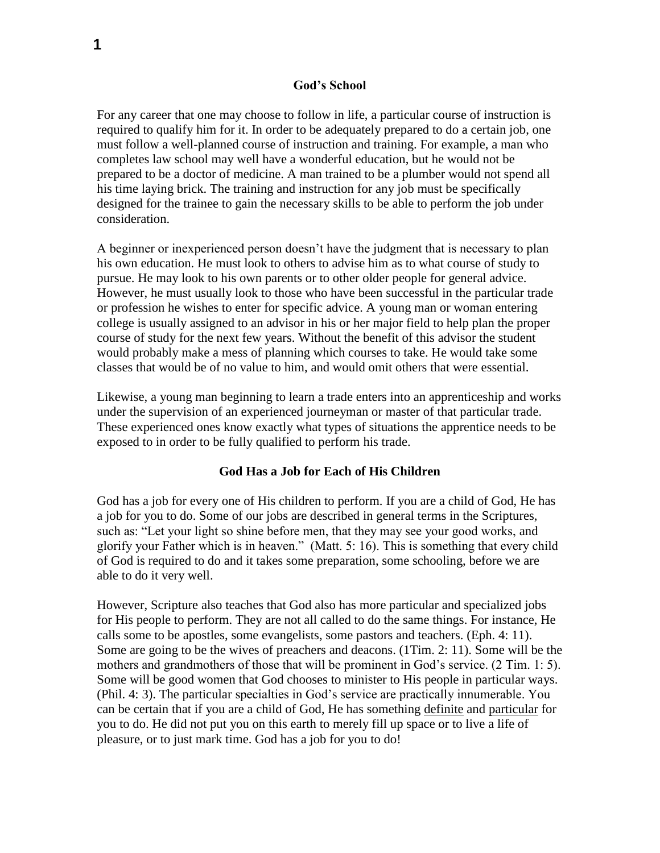### **God's School**

For any career that one may choose to follow in life, a particular course of instruction is required to qualify him for it. In order to be adequately prepared to do a certain job, one must follow a well-planned course of instruction and training. For example, a man who completes law school may well have a wonderful education, but he would not be prepared to be a doctor of medicine. A man trained to be a plumber would not spend all his time laying brick. The training and instruction for any job must be specifically designed for the trainee to gain the necessary skills to be able to perform the job under consideration.

A beginner or inexperienced person doesn't have the judgment that is necessary to plan his own education. He must look to others to advise him as to what course of study to pursue. He may look to his own parents or to other older people for general advice. However, he must usually look to those who have been successful in the particular trade or profession he wishes to enter for specific advice. A young man or woman entering college is usually assigned to an advisor in his or her major field to help plan the proper course of study for the next few years. Without the benefit of this advisor the student would probably make a mess of planning which courses to take. He would take some classes that would be of no value to him, and would omit others that were essential.

Likewise, a young man beginning to learn a trade enters into an apprenticeship and works under the supervision of an experienced journeyman or master of that particular trade. These experienced ones know exactly what types of situations the apprentice needs to be exposed to in order to be fully qualified to perform his trade.

### **God Has a Job for Each of His Children**

God has a job for every one of His children to perform. If you are a child of God, He has a job for you to do. Some of our jobs are described in general terms in the Scriptures, such as: "Let your light so shine before men, that they may see your good works, and glorify your Father which is in heaven." (Matt. 5: 16). This is something that every child of God is required to do and it takes some preparation, some schooling, before we are able to do it very well.

However, Scripture also teaches that God also has more particular and specialized jobs for His people to perform. They are not all called to do the same things. For instance, He calls some to be apostles, some evangelists, some pastors and teachers. (Eph. 4: 11). Some are going to be the wives of preachers and deacons. (1Tim. 2: 11). Some will be the mothers and grandmothers of those that will be prominent in God's service. (2 Tim. 1: 5). Some will be good women that God chooses to minister to His people in particular ways. (Phil. 4: 3). The particular specialties in God's service are practically innumerable. You can be certain that if you are a child of God, He has something definite and particular for you to do. He did not put you on this earth to merely fill up space or to live a life of pleasure, or to just mark time. God has a job for you to do!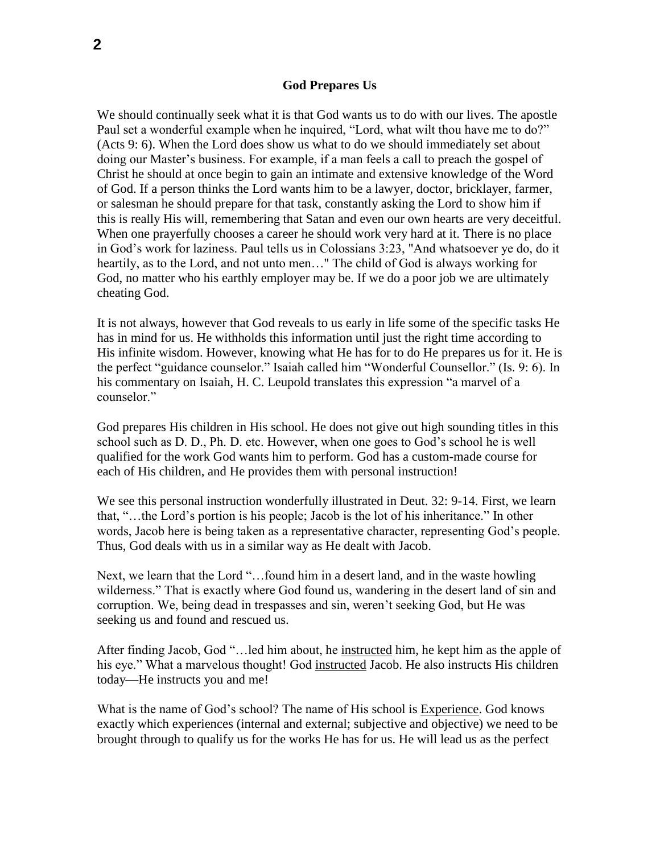#### **God Prepares Us**

We should continually seek what it is that God wants us to do with our lives. The apostle Paul set a wonderful example when he inquired, "Lord, what wilt thou have me to do?" (Acts 9: 6). When the Lord does show us what to do we should immediately set about doing our Master's business. For example, if a man feels a call to preach the gospel of Christ he should at once begin to gain an intimate and extensive knowledge of the Word of God. If a person thinks the Lord wants him to be a lawyer, doctor, bricklayer, farmer, or salesman he should prepare for that task, constantly asking the Lord to show him if this is really His will, remembering that Satan and even our own hearts are very deceitful. When one prayerfully chooses a career he should work very hard at it. There is no place in God's work for laziness. Paul tells us in Colossians 3:23, "And whatsoever ye do, do it heartily, as to the Lord, and not unto men…" The child of God is always working for God, no matter who his earthly employer may be. If we do a poor job we are ultimately cheating God.

It is not always, however that God reveals to us early in life some of the specific tasks He has in mind for us. He withholds this information until just the right time according to His infinite wisdom. However, knowing what He has for to do He prepares us for it. He is the perfect "guidance counselor." Isaiah called him "Wonderful Counsellor." (Is. 9: 6). In his commentary on Isaiah, H. C. Leupold translates this expression "a marvel of a counselor."

God prepares His children in His school. He does not give out high sounding titles in this school such as D. D., Ph. D. etc. However, when one goes to God's school he is well qualified for the work God wants him to perform. God has a custom-made course for each of His children, and He provides them with personal instruction!

We see this personal instruction wonderfully illustrated in Deut. 32: 9-14. First, we learn that, "…the Lord's portion is his people; Jacob is the lot of his inheritance." In other words, Jacob here is being taken as a representative character, representing God's people. Thus, God deals with us in a similar way as He dealt with Jacob.

Next, we learn that the Lord "…found him in a desert land, and in the waste howling wilderness." That is exactly where God found us, wandering in the desert land of sin and corruption. We, being dead in trespasses and sin, weren't seeking God, but He was seeking us and found and rescued us.

After finding Jacob, God "…led him about, he instructed him, he kept him as the apple of his eye." What a marvelous thought! God instructed Jacob. He also instructs His children today—He instructs you and me!

What is the name of God's school? The name of His school is Experience. God knows exactly which experiences (internal and external; subjective and objective) we need to be brought through to qualify us for the works He has for us. He will lead us as the perfect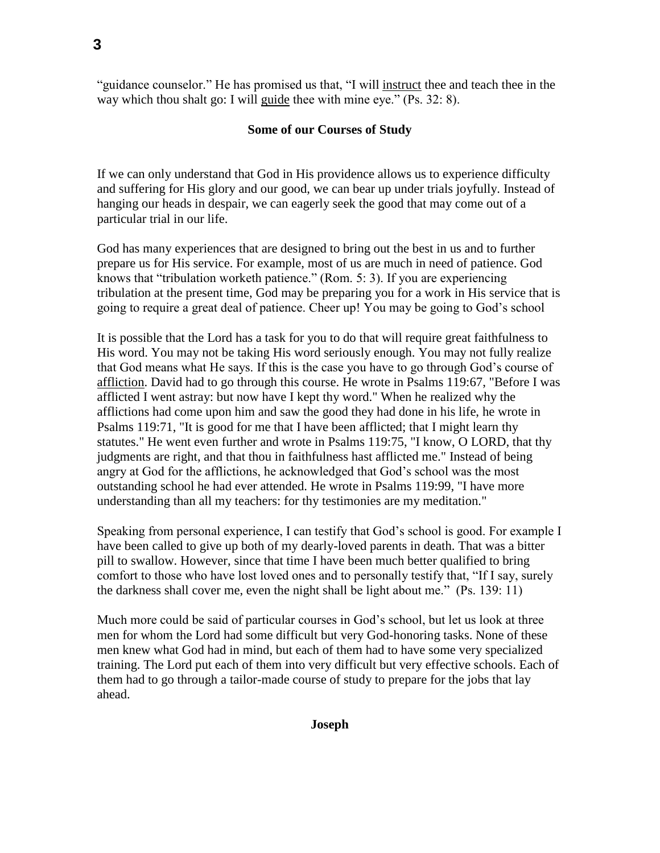"guidance counselor." He has promised us that, "I will instruct thee and teach thee in the way which thou shalt go: I will guide thee with mine eye." (Ps. 32: 8).

# **Some of our Courses of Study**

If we can only understand that God in His providence allows us to experience difficulty and suffering for His glory and our good, we can bear up under trials joyfully. Instead of hanging our heads in despair, we can eagerly seek the good that may come out of a particular trial in our life.

God has many experiences that are designed to bring out the best in us and to further prepare us for His service. For example, most of us are much in need of patience. God knows that "tribulation worketh patience." (Rom. 5: 3). If you are experiencing tribulation at the present time, God may be preparing you for a work in His service that is going to require a great deal of patience. Cheer up! You may be going to God's school

It is possible that the Lord has a task for you to do that will require great faithfulness to His word. You may not be taking His word seriously enough. You may not fully realize that God means what He says. If this is the case you have to go through God's course of affliction. David had to go through this course. He wrote in Psalms 119:67, "Before I was afflicted I went astray: but now have I kept thy word." When he realized why the afflictions had come upon him and saw the good they had done in his life, he wrote in Psalms 119:71, "It is good for me that I have been afflicted; that I might learn thy statutes." He went even further and wrote in Psalms 119:75, "I know, O LORD, that thy judgments are right, and that thou in faithfulness hast afflicted me." Instead of being angry at God for the afflictions, he acknowledged that God's school was the most outstanding school he had ever attended. He wrote in Psalms 119:99, "I have more understanding than all my teachers: for thy testimonies are my meditation."

Speaking from personal experience, I can testify that God's school is good. For example I have been called to give up both of my dearly-loved parents in death. That was a bitter pill to swallow. However, since that time I have been much better qualified to bring comfort to those who have lost loved ones and to personally testify that, "If I say, surely the darkness shall cover me, even the night shall be light about me." (Ps. 139: 11)

Much more could be said of particular courses in God's school, but let us look at three men for whom the Lord had some difficult but very God-honoring tasks. None of these men knew what God had in mind, but each of them had to have some very specialized training. The Lord put each of them into very difficult but very effective schools. Each of them had to go through a tailor-made course of study to prepare for the jobs that lay ahead.

**Joseph**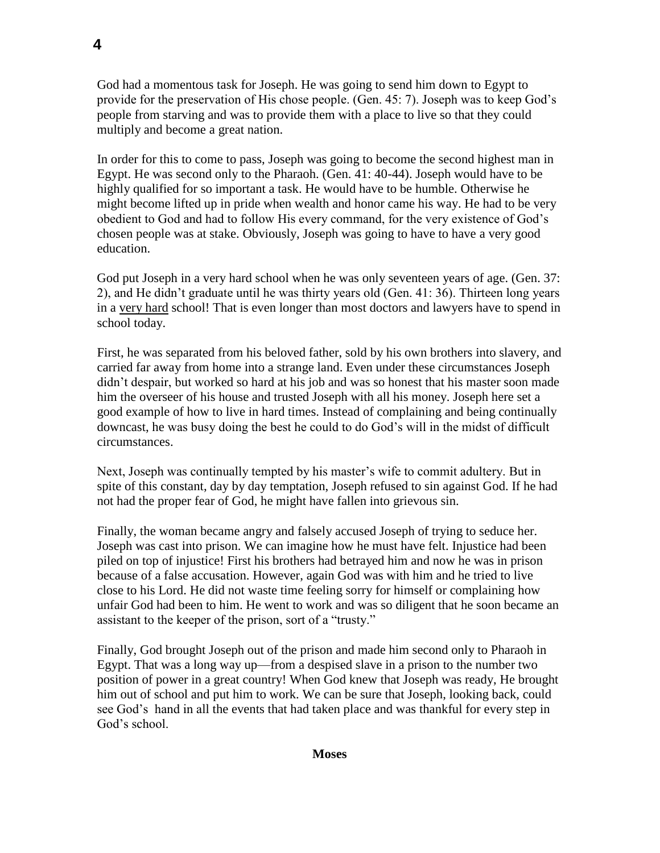God had a momentous task for Joseph. He was going to send him down to Egypt to provide for the preservation of His chose people. (Gen. 45: 7). Joseph was to keep God's people from starving and was to provide them with a place to live so that they could multiply and become a great nation.

In order for this to come to pass, Joseph was going to become the second highest man in Egypt. He was second only to the Pharaoh. (Gen. 41: 40-44). Joseph would have to be highly qualified for so important a task. He would have to be humble. Otherwise he might become lifted up in pride when wealth and honor came his way. He had to be very obedient to God and had to follow His every command, for the very existence of God's chosen people was at stake. Obviously, Joseph was going to have to have a very good education.

God put Joseph in a very hard school when he was only seventeen years of age. (Gen. 37: 2), and He didn't graduate until he was thirty years old (Gen. 41: 36). Thirteen long years in a very hard school! That is even longer than most doctors and lawyers have to spend in school today.

First, he was separated from his beloved father, sold by his own brothers into slavery, and carried far away from home into a strange land. Even under these circumstances Joseph didn't despair, but worked so hard at his job and was so honest that his master soon made him the overseer of his house and trusted Joseph with all his money. Joseph here set a good example of how to live in hard times. Instead of complaining and being continually downcast, he was busy doing the best he could to do God's will in the midst of difficult circumstances.

Next, Joseph was continually tempted by his master's wife to commit adultery. But in spite of this constant, day by day temptation, Joseph refused to sin against God. If he had not had the proper fear of God, he might have fallen into grievous sin.

Finally, the woman became angry and falsely accused Joseph of trying to seduce her. Joseph was cast into prison. We can imagine how he must have felt. Injustice had been piled on top of injustice! First his brothers had betrayed him and now he was in prison because of a false accusation. However, again God was with him and he tried to live close to his Lord. He did not waste time feeling sorry for himself or complaining how unfair God had been to him. He went to work and was so diligent that he soon became an assistant to the keeper of the prison, sort of a "trusty."

Finally, God brought Joseph out of the prison and made him second only to Pharaoh in Egypt. That was a long way up—from a despised slave in a prison to the number two position of power in a great country! When God knew that Joseph was ready, He brought him out of school and put him to work. We can be sure that Joseph, looking back, could see God's hand in all the events that had taken place and was thankful for every step in God's school.

### **Moses**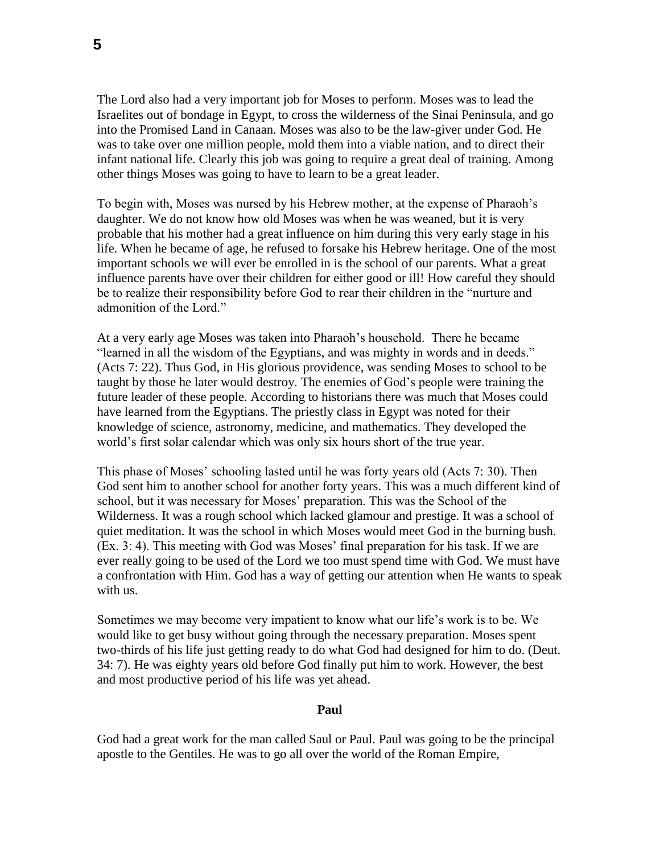The Lord also had a very important job for Moses to perform. Moses was to lead the Israelites out of bondage in Egypt, to cross the wilderness of the Sinai Peninsula, and go into the Promised Land in Canaan. Moses was also to be the law-giver under God. He was to take over one million people, mold them into a viable nation, and to direct their infant national life. Clearly this job was going to require a great deal of training. Among other things Moses was going to have to learn to be a great leader.

To begin with, Moses was nursed by his Hebrew mother, at the expense of Pharaoh's daughter. We do not know how old Moses was when he was weaned, but it is very probable that his mother had a great influence on him during this very early stage in his life. When he became of age, he refused to forsake his Hebrew heritage. One of the most important schools we will ever be enrolled in is the school of our parents. What a great influence parents have over their children for either good or ill! How careful they should be to realize their responsibility before God to rear their children in the "nurture and admonition of the Lord."

At a very early age Moses was taken into Pharaoh's household. There he became "learned in all the wisdom of the Egyptians, and was mighty in words and in deeds." (Acts 7: 22). Thus God, in His glorious providence, was sending Moses to school to be taught by those he later would destroy. The enemies of God's people were training the future leader of these people. According to historians there was much that Moses could have learned from the Egyptians. The priestly class in Egypt was noted for their knowledge of science, astronomy, medicine, and mathematics. They developed the world's first solar calendar which was only six hours short of the true year.

This phase of Moses' schooling lasted until he was forty years old (Acts 7: 30). Then God sent him to another school for another forty years. This was a much different kind of school, but it was necessary for Moses' preparation. This was the School of the Wilderness. It was a rough school which lacked glamour and prestige. It was a school of quiet meditation. It was the school in which Moses would meet God in the burning bush. (Ex. 3: 4). This meeting with God was Moses' final preparation for his task. If we are ever really going to be used of the Lord we too must spend time with God. We must have a confrontation with Him. God has a way of getting our attention when He wants to speak with us.

Sometimes we may become very impatient to know what our life's work is to be. We would like to get busy without going through the necessary preparation. Moses spent two-thirds of his life just getting ready to do what God had designed for him to do. (Deut. 34: 7). He was eighty years old before God finally put him to work. However, the best and most productive period of his life was yet ahead.

### **Paul**

God had a great work for the man called Saul or Paul. Paul was going to be the principal apostle to the Gentiles. He was to go all over the world of the Roman Empire,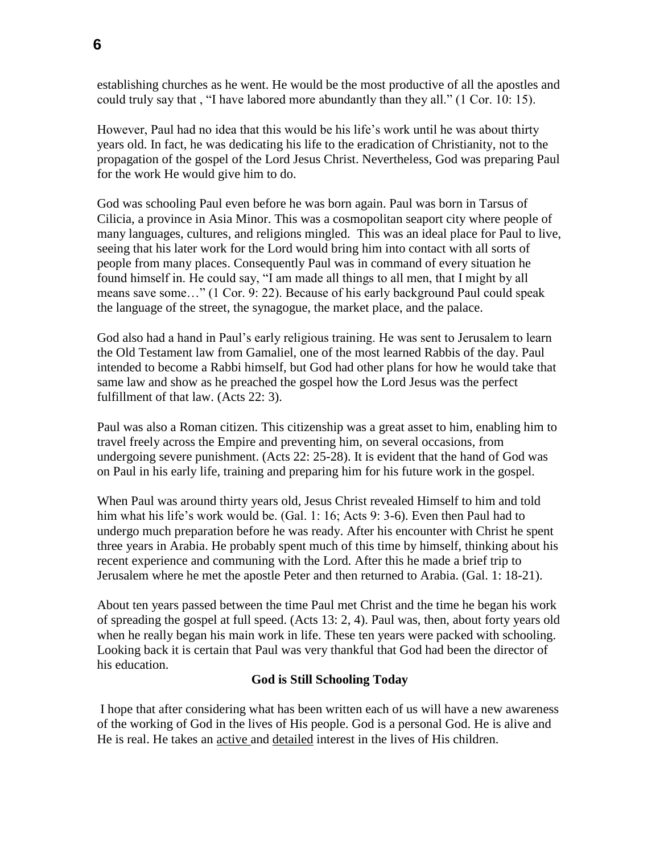establishing churches as he went. He would be the most productive of all the apostles and could truly say that , "I have labored more abundantly than they all." (1 Cor. 10: 15).

However, Paul had no idea that this would be his life's work until he was about thirty years old. In fact, he was dedicating his life to the eradication of Christianity, not to the propagation of the gospel of the Lord Jesus Christ. Nevertheless, God was preparing Paul for the work He would give him to do.

God was schooling Paul even before he was born again. Paul was born in Tarsus of Cilicia, a province in Asia Minor. This was a cosmopolitan seaport city where people of many languages, cultures, and religions mingled. This was an ideal place for Paul to live, seeing that his later work for the Lord would bring him into contact with all sorts of people from many places. Consequently Paul was in command of every situation he found himself in. He could say, "I am made all things to all men, that I might by all means save some…" (1 Cor. 9: 22). Because of his early background Paul could speak the language of the street, the synagogue, the market place, and the palace.

God also had a hand in Paul's early religious training. He was sent to Jerusalem to learn the Old Testament law from Gamaliel, one of the most learned Rabbis of the day. Paul intended to become a Rabbi himself, but God had other plans for how he would take that same law and show as he preached the gospel how the Lord Jesus was the perfect fulfillment of that law. (Acts 22: 3).

Paul was also a Roman citizen. This citizenship was a great asset to him, enabling him to travel freely across the Empire and preventing him, on several occasions, from undergoing severe punishment. (Acts 22: 25-28). It is evident that the hand of God was on Paul in his early life, training and preparing him for his future work in the gospel.

When Paul was around thirty years old, Jesus Christ revealed Himself to him and told him what his life's work would be. (Gal. 1: 16; Acts 9: 3-6). Even then Paul had to undergo much preparation before he was ready. After his encounter with Christ he spent three years in Arabia. He probably spent much of this time by himself, thinking about his recent experience and communing with the Lord. After this he made a brief trip to Jerusalem where he met the apostle Peter and then returned to Arabia. (Gal. 1: 18-21).

About ten years passed between the time Paul met Christ and the time he began his work of spreading the gospel at full speed. (Acts 13: 2, 4). Paul was, then, about forty years old when he really began his main work in life. These ten years were packed with schooling. Looking back it is certain that Paul was very thankful that God had been the director of his education.

## **God is Still Schooling Today**

I hope that after considering what has been written each of us will have a new awareness of the working of God in the lives of His people. God is a personal God. He is alive and He is real. He takes an active and detailed interest in the lives of His children.